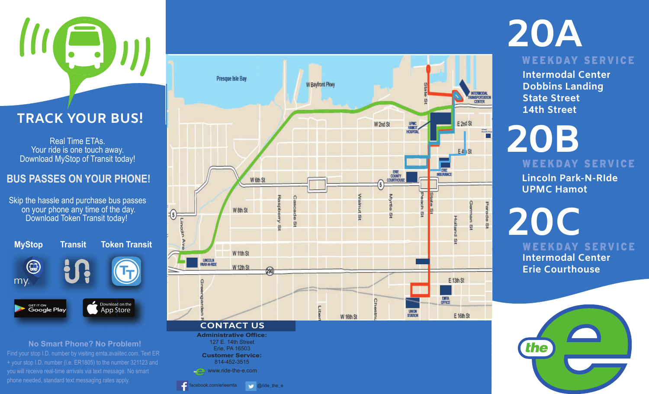# $\left(\begin{array}{c} \rule{0pt}{2ex} \rule{0pt}{2ex} \rule{0pt}{2ex} \rule{0pt}{2ex} \rule{0pt}{2ex} \rule{0pt}{2ex} \rule{0pt}{2ex} \rule{0pt}{2ex} \rule{0pt}{2ex} \rule{0pt}{2ex} \rule{0pt}{2ex} \rule{0pt}{2ex} \rule{0pt}{2ex} \rule{0pt}{2ex} \rule{0pt}{2ex} \rule{0pt}{2ex} \rule{0pt}{2ex} \rule{0pt}{2ex} \rule{0pt}{2ex} \rule{0pt}{2ex} \rule{0pt}{2ex} \rule{0pt}{2ex} \rule{0pt}{2ex} \rule{0$ Peninsu<sup>l</sup><sup>a</sup> <sup>D</sup><sup>r</sup>

**TRACK YOUR BUS!**

Real Time ETAs. Your ride is one touch away. Download MyStop of Transit today!

### **BUS PASSES ON YOUR PHONE!**

Skip the hassle and purchase bus passes  $\qquad$ on your phone any time of the day. Download Token Transit today!



**No Smart Phone? No Problem!** Find your stop I.D. number by visiting emta.availtec.com. Text ER + your stop I.D. number (i.e. ER1805) to the number 321123 and you will receive real-time arrivals via text message. No smart phone needed, standard text messaging rates apply.



# **20A**

WEEKDAY SERVICE

**Intermodal CenterDobbins Landing State Street14th Street**

# **20B** WEEKDAY SERVICE

**Lincoln Park-N-RIdeUPMC Hamot**

**20CIntermodal CenterErie Courthouse**WEEKDAY SERVICE